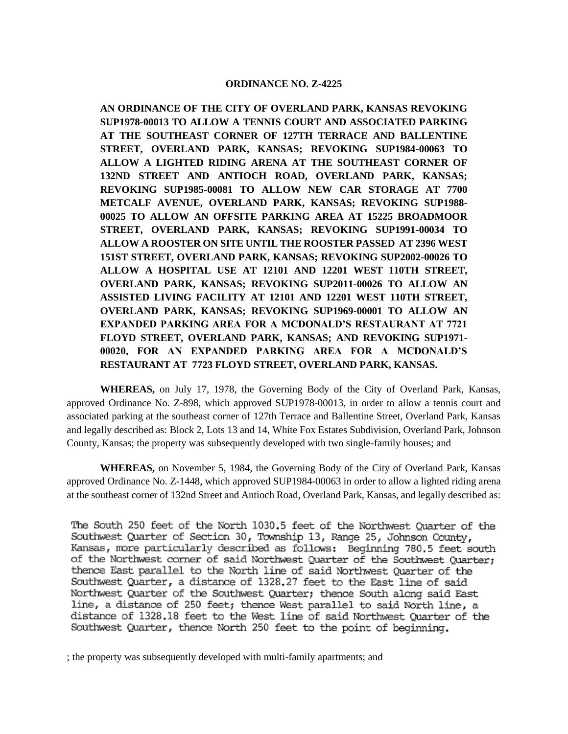### **ORDINANCE NO. Z-4225**

**AN ORDINANCE OF THE CITY OF OVERLAND PARK, KANSAS REVOKING SUP1978-00013 TO ALLOW A TENNIS COURT AND ASSOCIATED PARKING AT THE SOUTHEAST CORNER OF 127TH TERRACE AND BALLENTINE STREET, OVERLAND PARK, KANSAS; REVOKING SUP1984-00063 TO ALLOW A LIGHTED RIDING ARENA AT THE SOUTHEAST CORNER OF 132ND STREET AND ANTIOCH ROAD, OVERLAND PARK, KANSAS; REVOKING SUP1985-00081 TO ALLOW NEW CAR STORAGE AT 7700 METCALF AVENUE, OVERLAND PARK, KANSAS; REVOKING SUP1988- 00025 TO ALLOW AN OFFSITE PARKING AREA AT 15225 BROADMOOR STREET, OVERLAND PARK, KANSAS; REVOKING SUP1991-00034 TO ALLOW A ROOSTER ON SITE UNTIL THE ROOSTER PASSED AT 2396 WEST 151ST STREET, OVERLAND PARK, KANSAS; REVOKING SUP2002-00026 TO ALLOW A HOSPITAL USE AT 12101 AND 12201 WEST 110TH STREET, OVERLAND PARK, KANSAS; REVOKING SUP2011-00026 TO ALLOW AN ASSISTED LIVING FACILITY AT 12101 AND 12201 WEST 110TH STREET, OVERLAND PARK, KANSAS; REVOKING SUP1969-00001 TO ALLOW AN EXPANDED PARKING AREA FOR A MCDONALD'S RESTAURANT AT 7721 FLOYD STREET, OVERLAND PARK, KANSAS; AND REVOKING SUP1971- 00020, FOR AN EXPANDED PARKING AREA FOR A MCDONALD'S RESTAURANT AT 7723 FLOYD STREET, OVERLAND PARK, KANSAS.**

**WHEREAS,** on July 17, 1978, the Governing Body of the City of Overland Park, Kansas, approved Ordinance No. Z-898, which approved SUP1978-00013, in order to allow a tennis court and associated parking at the southeast corner of 127th Terrace and Ballentine Street, Overland Park, Kansas and legally described as: Block 2, Lots 13 and 14, White Fox Estates Subdivision, Overland Park, Johnson County, Kansas; the property was subsequently developed with two single-family houses; and

**WHEREAS,** on November 5, 1984, the Governing Body of the City of Overland Park, Kansas approved Ordinance No. Z-1448, which approved SUP1984-00063 in order to allow a lighted riding arena at the southeast corner of 132nd Street and Antioch Road, Overland Park, Kansas, and legally described as:

The South 250 feet of the North 1030.5 feet of the Northwest Ouarter of the Southwest Quarter of Section 30, Township 13, Range 25, Johnson County, Kansas, more particularly described as follows: Beginning 780.5 feet south of the Northwest corner of said Northwest Quarter of the Southwest Quarter; thence East parallel to the North line of said Northwest Quarter of the Southwest Quarter, a distance of 1328.27 feet to the East line of said Northwest Quarter of the Southwest Quarter; thence South along said East line, a distance of 250 feet; thence West parallel to said North line, a distance of 1328.18 feet to the West line of said Northwest Quarter of the Southwest Quarter, thence North 250 feet to the point of beginning.

; the property was subsequently developed with multi-family apartments; and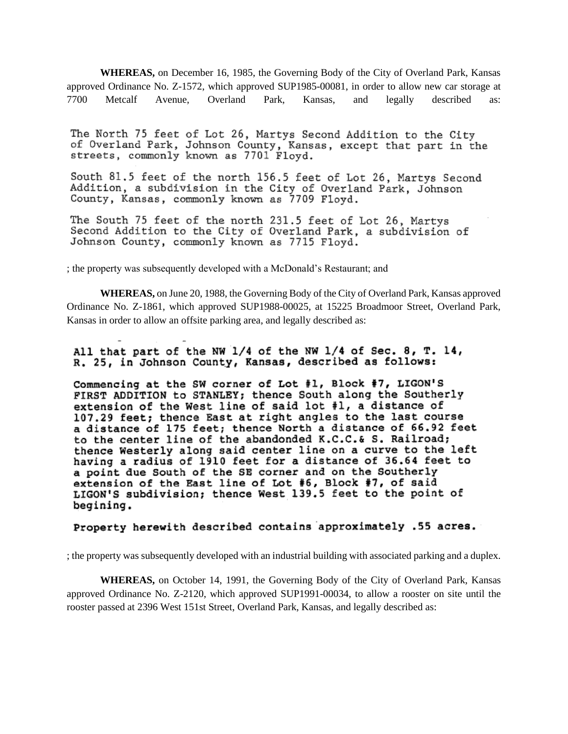**WHEREAS,** on December 16, 1985, the Governing Body of the City of Overland Park, Kansas approved Ordinance No. Z-1572, which approved SUP1985-00081, in order to allow new car storage at 7700 Metcalf Avenue, Overland Park, Kansas, and legally described as:

The North 75 feet of Lot 26, Martys Second Addition to the City of Overland Park, Johnson County, Kansas, except that part in the streets, commonly known as 7701 Floyd.

South 81.5 feet of the north 156.5 feet of Lot 26, Martys Second Addition, a subdivision in the City of Overland Park, Johnson County, Kansas, commonly known as 7709 Floyd.

The South 75 feet of the north 231.5 feet of Lot 26, Martys Second Addition to the City of Overland Park, a subdivision of Johnson County, commonly known as 7715 Floyd.

; the property was subsequently developed with a McDonald's Restaurant; and

**WHEREAS,** on June 20, 1988, the Governing Body of the City of Overland Park, Kansas approved Ordinance No. Z-1861, which approved SUP1988-00025, at 15225 Broadmoor Street, Overland Park, Kansas in order to allow an offsite parking area, and legally described as:

All that part of the NW 1/4 of the NW 1/4 of Sec. 8, T. 14, R. 25, in Johnson County, Kansas, described as follows:

Commencing at the SW corner of Lot #1, Block #7, LIGON'S FIRST ADDITION to STANLEY; thence South along the Southerly extension of the West line of said lot #1, a distance of 107.29 feet; thence East at right angles to the last course a distance of 175 feet; thence North a distance of 66.92 feet to the center line of the abandonded K.C.C.& S. Railroad; thence Westerly along said center line on a curve to the left having a radius of 1910 feet for a distance of 36.64 feet to a point due South of the SE corner and on the Southerly extension of the East line of Lot #6, Block #7, of said LIGON'S subdivision; thence West 139.5 feet to the point of begining.

#### Property herewith described contains approximately .55 acres.

; the property was subsequently developed with an industrial building with associated parking and a duplex.

**WHEREAS,** on October 14, 1991, the Governing Body of the City of Overland Park, Kansas approved Ordinance No. Z-2120, which approved SUP1991-00034, to allow a rooster on site until the rooster passed at 2396 West 151st Street, Overland Park, Kansas, and legally described as: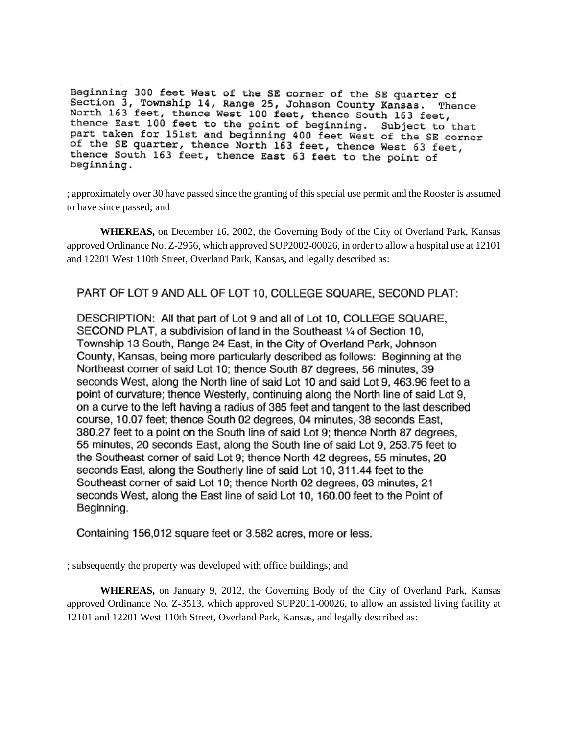Beginning 300 feet West of the SE corner of the SE quarter of Section 3, Township 14, Range 25, Johnson County Kansas. Thence<br>North 163 feet, thence West 100 feet, thence South 163 feet,<br>thence East 100 feet to the point of beginning. Subject to that<br>nart taken for 151st and beginnin part taken for 151st and beginning 400 feet West of the SE corner of the SE quarter, thence North 163 feet, thence West 63 feet, thence South 163 feet, thence East 63 feet to the point of beginning.

; approximately over 30 have passed since the granting of this special use permit and the Rooster is assumed to have since passed; and

**WHEREAS,** on December 16, 2002, the Governing Body of the City of Overland Park, Kansas approved Ordinance No. Z-2956, which approved SUP2002-00026, in order to allow a hospital use at 12101 and 12201 West 110th Street, Overland Park, Kansas, and legally described as:

# PART OF LOT 9 AND ALL OF LOT 10, COLLEGE SQUARE, SECOND PLAT:

DESCRIPTION: All that part of Lot 9 and all of Lot 10, COLLEGE SQUARE, SECOND PLAT, a subdivision of land in the Southeast 1/4 of Section 10, Township 13 South, Range 24 East, in the City of Overland Park, Johnson County, Kansas, being more particularly described as follows: Beginning at the Northeast corner of said Lot 10; thence South 87 degrees, 56 minutes, 39 seconds West, along the North line of said Lot 10 and said Lot 9, 463.96 feet to a point of curvature; thence Westerly, continuing along the North line of said Lot 9, on a curve to the left having a radius of 385 feet and tangent to the last described course, 10.07 feet; thence South 02 degrees, 04 minutes, 38 seconds East, 380.27 feet to a point on the South line of said Lot 9; thence North 87 degrees, 55 minutes, 20 seconds East, along the South line of said Lot 9, 253.75 feet to the Southeast corner of said Lot 9; thence North 42 degrees, 55 minutes, 20 seconds East, along the Southerly line of said Lot 10, 311.44 feet to the Southeast corner of said Lot 10; thence North 02 degrees, 03 minutes, 21 seconds West, along the East line of said Lot 10, 160.00 feet to the Point of Beginning.

Containing 156,012 square feet or 3.582 acres, more or less.

; subsequently the property was developed with office buildings; and

**WHEREAS,** on January 9, 2012, the Governing Body of the City of Overland Park, Kansas approved Ordinance No. Z-3513, which approved SUP2011-00026, to allow an assisted living facility at 12101 and 12201 West 110th Street, Overland Park, Kansas, and legally described as: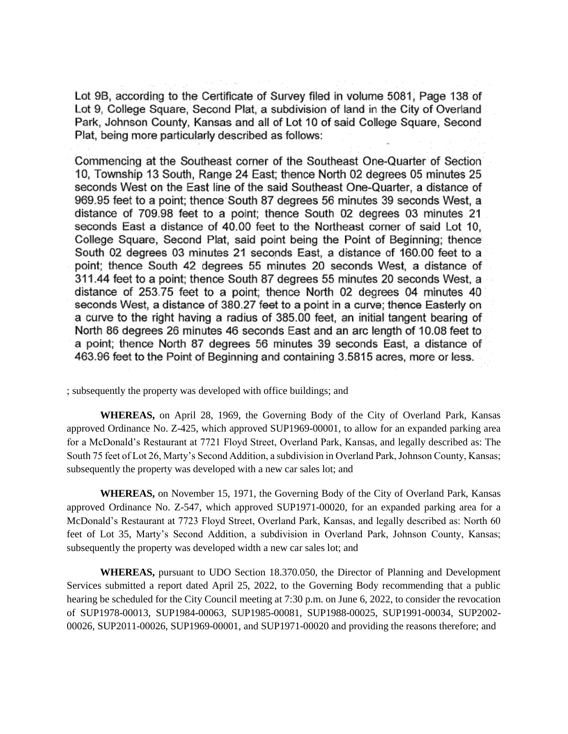Lot 9B, according to the Certificate of Survey filed in volume 5081, Page 138 of Lot 9, College Square, Second Plat, a subdivision of land in the City of Overland Park, Johnson County, Kansas and all of Lot 10 of said College Square, Second Plat, being more particularly described as follows:

Commencing at the Southeast corner of the Southeast One-Quarter of Section 10. Township 13 South, Range 24 East; thence North 02 degrees 05 minutes 25 seconds West on the East line of the said Southeast One-Quarter, a distance of 969.95 feet to a point; thence South 87 degrees 56 minutes 39 seconds West, a distance of 709.98 feet to a point; thence South 02 degrees 03 minutes 21 seconds East a distance of 40.00 feet to the Northeast corner of said Lot 10, College Square, Second Plat, said point being the Point of Beginning; thence South 02 degrees 03 minutes 21 seconds East, a distance of 160.00 feet to a point; thence South 42 degrees 55 minutes 20 seconds West, a distance of 311.44 feet to a point; thence South 87 degrees 55 minutes 20 seconds West, a distance of 253.75 feet to a point; thence North 02 degrees 04 minutes 40 seconds West, a distance of 380.27 feet to a point in a curve; thence Easterly on a curve to the right having a radius of 385.00 feet, an initial tangent bearing of North 86 degrees 26 minutes 46 seconds East and an arc length of 10.08 feet to a point; thence North 87 degrees 56 minutes 39 seconds East, a distance of 463.96 feet to the Point of Beginning and containing 3.5815 acres, more or less.

; subsequently the property was developed with office buildings; and

**WHEREAS,** on April 28, 1969, the Governing Body of the City of Overland Park, Kansas approved Ordinance No. Z-425, which approved SUP1969-00001, to allow for an expanded parking area for a McDonald's Restaurant at 7721 Floyd Street, Overland Park, Kansas, and legally described as: The South 75 feet of Lot 26, Marty's Second Addition, a subdivision in Overland Park, Johnson County, Kansas; subsequently the property was developed with a new car sales lot; and

**WHEREAS,** on November 15, 1971, the Governing Body of the City of Overland Park, Kansas approved Ordinance No. Z-547, which approved SUP1971-00020, for an expanded parking area for a McDonald's Restaurant at 7723 Floyd Street, Overland Park, Kansas, and legally described as: North 60 feet of Lot 35, Marty's Second Addition, a subdivision in Overland Park, Johnson County, Kansas; subsequently the property was developed width a new car sales lot; and

**WHEREAS,** pursuant to UDO Section 18.370.050, the Director of Planning and Development Services submitted a report dated April 25, 2022, to the Governing Body recommending that a public hearing be scheduled for the City Council meeting at 7:30 p.m. on June 6, 2022, to consider the revocation of SUP1978-00013, SUP1984-00063, SUP1985-00081, SUP1988-00025, SUP1991-00034, SUP2002- 00026, SUP2011-00026, SUP1969-00001, and SUP1971-00020 and providing the reasons therefore; and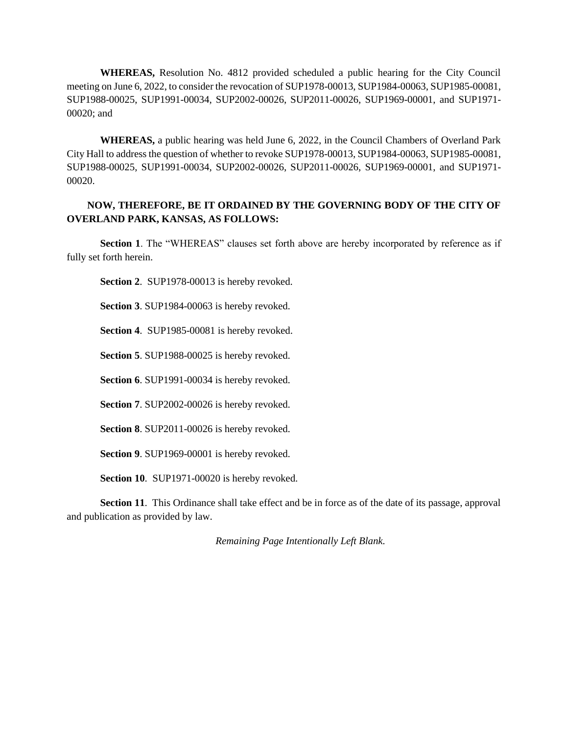**WHEREAS,** Resolution No. 4812 provided scheduled a public hearing for the City Council meeting on June 6, 2022, to consider the revocation of SUP1978-00013, SUP1984-00063, SUP1985-00081, SUP1988-00025, SUP1991-00034, SUP2002-00026, SUP2011-00026, SUP1969-00001, and SUP1971- 00020; and

**WHEREAS,** a public hearing was held June 6, 2022, in the Council Chambers of Overland Park City Hall to address the question of whether to revoke SUP1978-00013, SUP1984-00063, SUP1985-00081, SUP1988-00025, SUP1991-00034, SUP2002-00026, SUP2011-00026, SUP1969-00001, and SUP1971- 00020.

## **NOW, THEREFORE, BE IT ORDAINED BY THE GOVERNING BODY OF THE CITY OF OVERLAND PARK, KANSAS, AS FOLLOWS:**

**Section 1**. The "WHEREAS" clauses set forth above are hereby incorporated by reference as if fully set forth herein.

**Section 2**. SUP1978-00013 is hereby revoked.

**Section 3**. SUP1984-00063 is hereby revoked.

**Section 4**. SUP1985-00081 is hereby revoked.

**Section 5**. SUP1988-00025 is hereby revoked.

**Section 6**. SUP1991-00034 is hereby revoked.

**Section 7**. SUP2002-00026 is hereby revoked.

**Section 8**. SUP2011-00026 is hereby revoked.

**Section 9**. SUP1969-00001 is hereby revoked.

**Section 10**. SUP1971-00020 is hereby revoked.

**Section 11**. This Ordinance shall take effect and be in force as of the date of its passage, approval and publication as provided by law.

*Remaining Page Intentionally Left Blank.*